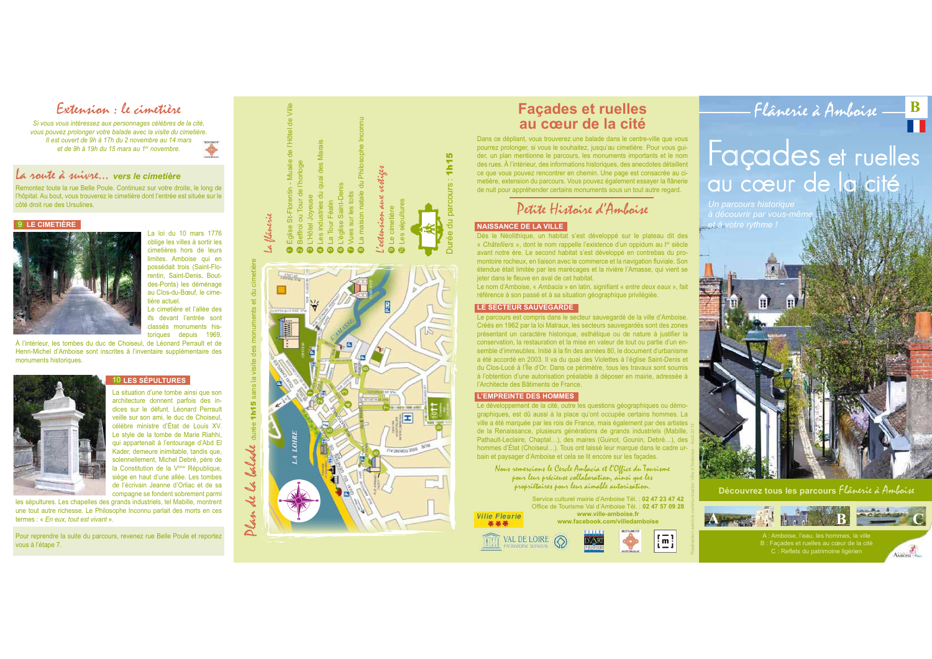Extension : le cimetière

Si vous vous intéressez aux personnages célèbres de la cité. vous pouvez prolonger votre balade avec la visite du cimetière. Il est ouvert de 9h à 17h du 2 novembre au 14 mars et de 9h à 19h du 15 mars au 1<sup>er</sup> novembre.

### La route à suivre vors le cimetière

Remontez toute la rue Belle Poule. Continuez sur votre droite, le long de l'hôpital. Au bout, vous trouverez le cimetière dont l'entrée est située sur le côté droit rue des Ursulines

#### $9$  LE CIMETIÈRE



La loi du 10 mars 1776 oblige les villes à sortir les cimetières hors de leurs limites. Amboise qui en possédait trois (Saint-Florentin, Saint-Denis, Bout-

des-Ponts) les déménage au Clos-du-Bœuf, le cimetière actuel Le cimetière et l'allée des ifs devant l'entrée sont classés monuments his-

toriques depuis 1969. À l'intérieur, les tombes du duc de Choiseul, de Léonard Perrault et de Henri-Michel d'Amboise sont inscrites à l'inventaire supplémentaire des monuments historiques.



#### 10 LES SÉPULTURES

La situation d'une tombe ainsi que son architecture donnent parfois des indices sur le défunt. Léonard Perrault veille sur son ami, le duc de Choiseul. célèbre ministre d'État de Louis XV. Le style de la tombe de Marie Riahhi. qui appartenait à l'entourage d'Abd El Kader, demeure inimitable, tandis que. solennellement. Michel Debré, père de la Constitution de la Vème République, siège en haut d'une allée. Les tombes de l'écrivain Jeanne d'Orliac et de sa compagne se fondent sobrement parmi

balade

 $\mathcal{A}$ 

 $\boldsymbol{\mathcal{X}}$ 

Plan.

les sépultures. Les chapelles des grands industriels, tel Mabille, montrent une tout autre richesse. Le Philosophe Inconnu parlait des morts en ces termes  $\cdot$  « En eux tout est vivant »

Pour reprendre la suite du parcours, revenez rue Belle Poule et reportez vous à l'étape 7.



Dans ce dépliant, vous trouverez une balade dans le centre-ville que vous pourrez prolonger, si vous le souhaitez, jusqu'au cimetière. Pour vous quider, un plan mentionne le parcours, les monuments importants et le nom des rues. À l'intérieur, des informations historiques, des anecdotes détaillent ce que vous pouvez rencontrer en chemin. Une page est consacrée au cimetière, extension du parcours. Vous pouvez également essayer la flânerie de nuit pour appréhender certains monuments sous un tout autre regard.

Detite Histoire d'Amboise

#### **NAISSANCE DE LA VILLE**

1h15

Dès le Néolithique, un habitat s'est développé sur le plateau dit des « Châtelliers », dont le nom rappelle l'existence d'un oppidum au ler siècle avant notre ère. Le second habitat s'est développé en contrebas du promontoire rocheux, en liaison avec le commerce et la navigation fluviale. Son étendue était limitée par les marécages et la rivière l'Amasse, qui vient se jeter dans le fleuve en aval de cet habitat.

Le nom d'Amboise, « Ambacia » en latin, signifiant « entre deux eaux », fait référence à son passé et à sa situation géographique privilégiée.

#### LE SECTEUR SAUVEGARDÉ

Le parcours est compris dans le secteur sauvegardé de la ville d'Amboise. Créés en 1962 par la loi Malraux, les secteurs sauvegardés sont des zones présentant un caractère historique, esthétique ou de nature à justifier la conservation. la restauration et la mise en valeur de tout ou partie d'un ensemble d'immeubles. Initié à la fin des années 80, le document d'urbanisme a été accordé en 2003. Il va du quai des Violettes à l'église Saint-Denis et du Clos-Lucé à l'Île d'Or. Dans ce périmètre, tous les travaux sont soumis à l'obtention d'une autorisation préalable à déposer en mairie, adressée à l'Architecte des Bâtiments de France.

#### **L'EMPREINTE DES HOMMES**

Le développement de la cité, outre les questions géographiques ou démographiques, est dû aussi à la place qu'ont occupée certains hommes. La ville a été marquée par les rois de France, mais également par des artistes de la Renaissance, plusieurs générations de grands industriels (Mabille Pathault-Leclaire, Chaptal...), des maires (Guinot, Gounin, Debré...), des hommes d'État (Choiseul...). Tous ont laissé leur marque dans le cadre un bain et paysager d'Amboise et cela se lit encore sur les façades.

Nous remercians le Cercle Ambacia et l'Office du Tourisme pour leur précieuse collaboration, ainsi que les propriétaires pour leur aimable autorisation.

> Service culturel mairie d'Amboise Tél. : 02 47 23 47 42 Office de Tourisme Val d'Amboise Tél. : 02 47 57 09 28 www.ville-amboise.fr

www.facebook.com/villedamboise





Flânerie à Ambaise - B Façades et ruelles au cœur de la cité

 $let$  à votre rythme !



Découvrez tous les parcours flânerie à Amboise



A : Amboise, l'eau, les hommes, la ville B : Facades et ruelles au cœur de la cité C : Reflets du patrimoine ligérien



**BRETONNEAU** 

**Ville Fleurie** 蒂蒂蒂

VAL DE LOIRE